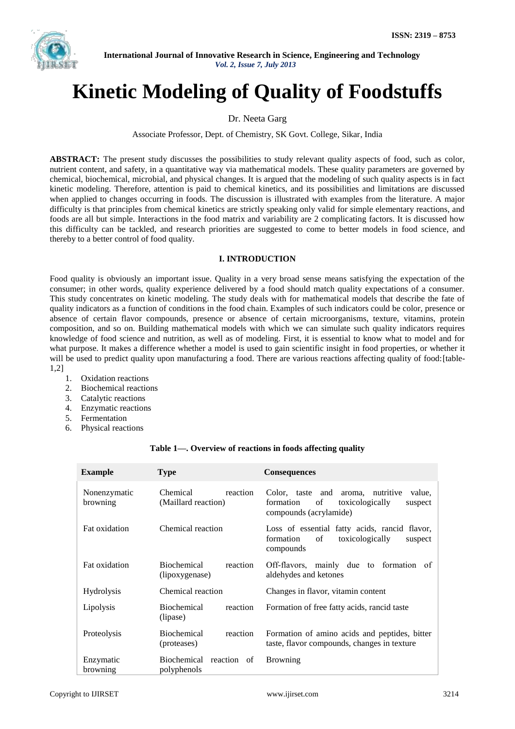

# **Kinetic Modeling of Quality of Foodstuffs**

Dr. Neeta Garg

Associate Professor, Dept. of Chemistry, SK Govt. College, Sikar, India

**ABSTRACT:** The present study discusses the possibilities to study relevant quality aspects of food, such as color, nutrient content, and safety, in a quantitative way via mathematical models. These quality parameters are governed by chemical, biochemical, microbial, and physical changes. It is argued that the modeling of such quality aspects is in fact kinetic modeling. Therefore, attention is paid to chemical kinetics, and its possibilities and limitations are discussed when applied to changes occurring in foods. The discussion is illustrated with examples from the literature. A major difficulty is that principles from chemical kinetics are strictly speaking only valid for simple elementary reactions, and foods are all but simple. Interactions in the food matrix and variability are 2 complicating factors. It is discussed how this difficulty can be tackled, and research priorities are suggested to come to better models in food science, and thereby to a better control of food quality.

# **I. INTRODUCTION**

Food quality is obviously an important issue. Quality in a very broad sense means satisfying the expectation of the consumer; in other words, quality experience delivered by a food should match quality expectations of a consumer. This study concentrates on kinetic modeling. The study deals with for mathematical models that describe the fate of quality indicators as a function of conditions in the food chain. Examples of such indicators could be color, presence or absence of certain flavor compounds, presence or absence of certain microorganisms, texture, vitamins, protein composition, and so on. Building mathematical models with which we can simulate such quality indicators requires knowledge of food science and nutrition, as well as of modeling. First, it is essential to know what to model and for what purpose. It makes a difference whether a model is used to gain scientific insight in food properties, or whether it will be used to predict quality upon manufacturing a food. There are various reactions affecting quality of food: [table-1,2]

- 1. Oxidation reactions
- 2. Biochemical reactions
- 3. Catalytic reactions
- 4. Enzymatic reactions
- 5. Fermentation
- 6. Physical reactions

| <b>Example</b>           | <b>Type</b>                                      | Consequences                                                                                                              |
|--------------------------|--------------------------------------------------|---------------------------------------------------------------------------------------------------------------------------|
| Nonenzymatic<br>browning | Chemical<br>reaction<br>(Maillard reaction)      | Color, taste and<br>aroma, nutritive<br>value,<br>of<br>toxicologically<br>formation<br>suspect<br>compounds (acrylamide) |
| Fat oxidation            | Chemical reaction                                | Loss of essential fatty acids, rancid flavor,<br>of<br>toxicologically<br>formation<br>suspect<br>compounds               |
| Fat oxidation            | <b>Biochemical</b><br>reaction<br>(lipoxygenase) | Off-flavors, mainly due to formation<br>of<br>aldehydes and ketones                                                       |
| <b>Hydrolysis</b>        | Chemical reaction                                | Changes in flavor, vitamin content                                                                                        |
| Lipolysis                | <b>Biochemical</b><br>reaction<br>(lipase)       | Formation of free fatty acids, rancid taste                                                                               |
| Proteolysis              | <b>Biochemical</b><br>reaction<br>(proteases)    | Formation of amino acids and peptides, bitter<br>taste, flavor compounds, changes in texture                              |
| Enzymatic<br>browning    | Biochemical reaction of<br>polyphenols           | <b>Browning</b>                                                                                                           |

# **Table 1—. Overview of reactions in foods affecting quality**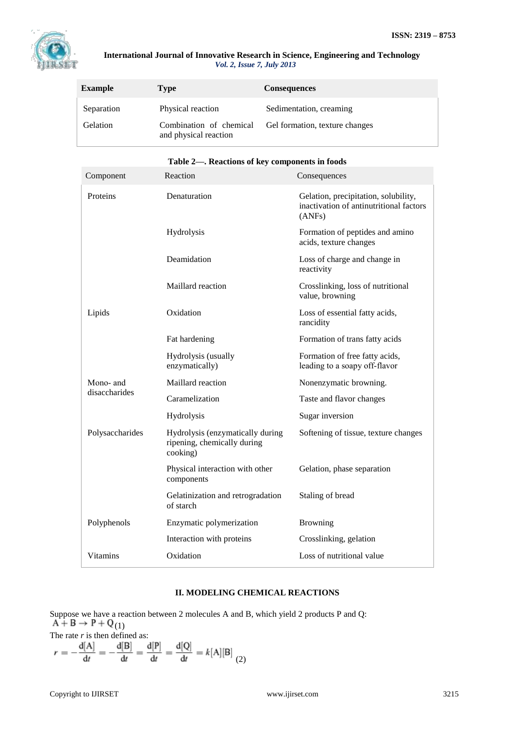

| <b>Example</b>         | Type                                         | <b>Consequences</b>                                       |
|------------------------|----------------------------------------------|-----------------------------------------------------------|
| Separation<br>Gelation | Physical reaction<br>Combination of chemical | Sedimentation, creaming<br>Gel formation, texture changes |
|                        | and physical reaction                        |                                                           |

|                 | Table 2—. Reactions of key components in foods                              |                                                                                           |
|-----------------|-----------------------------------------------------------------------------|-------------------------------------------------------------------------------------------|
| Component       | Reaction                                                                    | Consequences                                                                              |
| Proteins        | Denaturation                                                                | Gelation, precipitation, solubility,<br>inactivation of antinutritional factors<br>(ANSF) |
|                 | Hydrolysis                                                                  | Formation of peptides and amino<br>acids, texture changes                                 |
|                 | Deamidation                                                                 | Loss of charge and change in<br>reactivity                                                |
|                 | Maillard reaction                                                           | Crosslinking, loss of nutritional<br>value, browning                                      |
| Lipids          | Oxidation                                                                   | Loss of essential fatty acids,<br>rancidity                                               |
|                 | Fat hardening                                                               | Formation of trans fatty acids                                                            |
|                 | Hydrolysis (usually<br>enzymatically)                                       | Formation of free fatty acids,<br>leading to a soapy off-flavor                           |
| Mono- and       | Maillard reaction                                                           | Nonenzymatic browning.                                                                    |
| disaccharides   | Caramelization                                                              | Taste and flavor changes                                                                  |
|                 | Hydrolysis                                                                  | Sugar inversion                                                                           |
| Polysaccharides | Hydrolysis (enzymatically during<br>ripening, chemically during<br>cooking) | Softening of tissue, texture changes                                                      |
|                 | Physical interaction with other<br>components                               | Gelation, phase separation                                                                |
|                 | Gelatinization and retrogradation<br>of starch                              | Staling of bread                                                                          |
| Polyphenols     | Enzymatic polymerization                                                    | <b>Browning</b>                                                                           |
|                 | Interaction with proteins                                                   | Crosslinking, gelation                                                                    |
| <b>Vitamins</b> | Oxidation                                                                   | Loss of nutritional value                                                                 |

# **Table 2—. Reactions of key components in foods**

# **II. MODELING CHEMICAL REACTIONS**

Suppose we have a reaction between 2 molecules A and B, which yield 2 products P and Q: (1) The rate *r* is then defined as:

$$
r = -\frac{d[A]}{dt} = -\frac{d[B]}{dt} = \frac{d[P]}{dt} = \frac{d[Q]}{dt} = k[A][B]
$$
(2)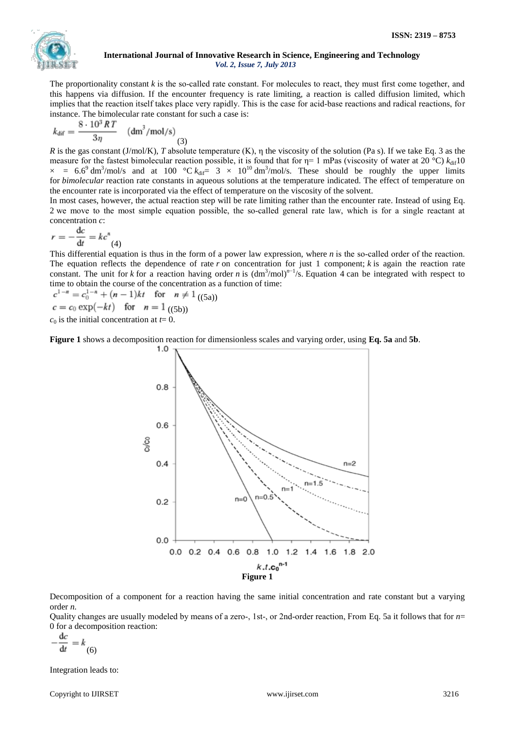

The proportionality constant  $k$  is the so-called rate constant. For molecules to react, they must first come together, and this happens via diffusion. If the encounter frequency is rate limiting, a reaction is called diffusion limited, which implies that the reaction itself takes place very rapidly. This is the case for acid-base reactions and radical reactions, for instance. The bimolecular rate constant for such a case is:

$$
k_{\text{dif}} = \frac{8 \cdot 10^3 RT}{3\eta} \quad (\text{dm}^3/\text{mol/s}) \tag{3}
$$

*R* is the gas constant (J/mol/K), *T* absolute temperature (K), η the viscosity of the solution (Pa s). If we take [Eq. 3](https://onlinelibrary.wiley.com/doi/full/10.1111/j.1541-4337.2007.00036.x#m3) as the measure for the fastest bimolecular reaction possible, it is found that for  $\eta=1$  mPas (viscosity of water at 20 °C)  $k_{dif}$ 10  $\times$  = 6.6<sup>9</sup> dm<sup>3</sup>/mol/s and at 100 °C  $k_{\text{dif}}$  = 3  $\times$  10<sup>10</sup> dm<sup>3</sup>/mol/s. These should be roughly the upper limits for *bimolecular* reaction rate constants in aqueous solutions at the temperature indicated. The effect of temperature on the encounter rate is incorporated via the effect of temperature on the viscosity of the solvent.

In most cases, however, the actual reaction step will be rate limiting rather than the encounter rate. Instead of using [Eq.](https://onlinelibrary.wiley.com/doi/full/10.1111/j.1541-4337.2007.00036.x#m2)  [2](https://onlinelibrary.wiley.com/doi/full/10.1111/j.1541-4337.2007.00036.x#m2) we move to the most simple equation possible, the so-called general rate law, which is for a single reactant at concentration *c*:

$$
r = -\frac{\mathrm{d}c}{\mathrm{d}t} = kc^n
$$
\n(4)

This differential equation is thus in the form of a power law expression, where  $n$  is the so-called order of the reaction. The equation reflects the dependence of rate  $r$  on concentration for just 1 component;  $k$  is again the reaction rate constant. The unit for *k* for a reaction having order *n* is  $(\text{dm}^3/\text{mol})^{n-1}/\text{s}$ . [Equation 4](https://onlinelibrary.wiley.com/doi/full/10.1111/j.1541-4337.2007.00036.x#m4) can be integrated with respect to time to obtain the course of the concentration as a function of time:

 $c^{1-n} = c_0^{1-n} + (n-1)kt$  for  $n \neq 1$  ((5a))  $c = c_0 \exp(-kt)$  for  $n = 1$  ((5b))

 $c_0$  is the initial concentration at  $t=0$ .

**[Figure 1](https://onlinelibrary.wiley.com/doi/full/10.1111/j.1541-4337.2007.00036.x#f1)** shows a decomposition reaction for dimensionless scales and varying order, using **[Eq. 5a](https://onlinelibrary.wiley.com/doi/full/10.1111/j.1541-4337.2007.00036.x#m5)** and **[5b](https://onlinelibrary.wiley.com/doi/full/10.1111/j.1541-4337.2007.00036.x#m6)**.



Decomposition of a component for a reaction having the same initial concentration and rate constant but a varying order *n.*

Quality changes are usually modeled by means of a zero-, 1st-, or 2nd-order reaction, From [Eq. 5a](https://onlinelibrary.wiley.com/doi/full/10.1111/j.1541-4337.2007.00036.x#m5) it follows that for  $n=$ 0 for a decomposition reaction:

$$
-\frac{\mathrm{d}c}{\mathrm{d}t} = k_{(6)}
$$

Integration leads to:

Copyright to IJIRSET www.ijirset.com 3216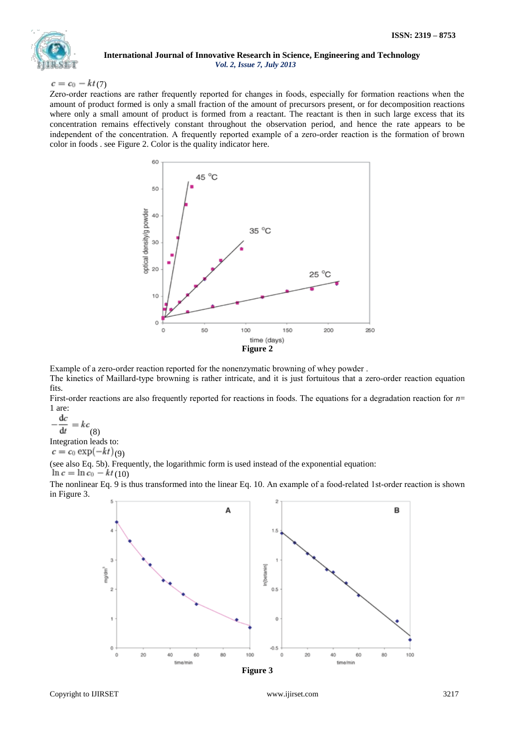

# $c = c_0 - kt(7)$

Zero-order reactions are rather frequently reported for changes in foods, especially for formation reactions when the amount of product formed is only a small fraction of the amount of precursors present, or for decomposition reactions where only a small amount of product is formed from a reactant. The reactant is then in such large excess that its concentration remains effectively constant throughout the observation period, and hence the rate appears to be independent of the concentration. A frequently reported example of a zero-order reaction is the formation of brown color in foods . see [Figure 2.](https://onlinelibrary.wiley.com/doi/full/10.1111/j.1541-4337.2007.00036.x#f2) Color is the quality indicator here.



Example of a zero‐order reaction reported for the nonenzymatic browning of whey powder .

The kinetics of Maillard-type browning is rather intricate, and it is just fortuitous that a zero-order reaction equation fits.

First-order reactions are also frequently reported for reactions in foods. The equations for a degradation reaction for  $n=$ 1 are:

 $dc$  $=kc$ <sub>(8)</sub>  $\overline{dt}$ 

Integration leads to:

 $c = c_0 \exp(-kt)_{(9)}$ 

(see also [Eq. 5b\)](https://onlinelibrary.wiley.com/doi/full/10.1111/j.1541-4337.2007.00036.x#m6). Frequently, the logarithmic form is used instead of the exponential equation:

 $\ln c = \ln c_0 - kt(10)$ 

The nonlinear [Eq. 9](https://onlinelibrary.wiley.com/doi/full/10.1111/j.1541-4337.2007.00036.x#m10) is thus transformed into the linear [Eq. 10.](https://onlinelibrary.wiley.com/doi/full/10.1111/j.1541-4337.2007.00036.x#m11) An example of a food-related 1st-order reaction is shown in [Figure 3.](https://onlinelibrary.wiley.com/doi/full/10.1111/j.1541-4337.2007.00036.x#f3)



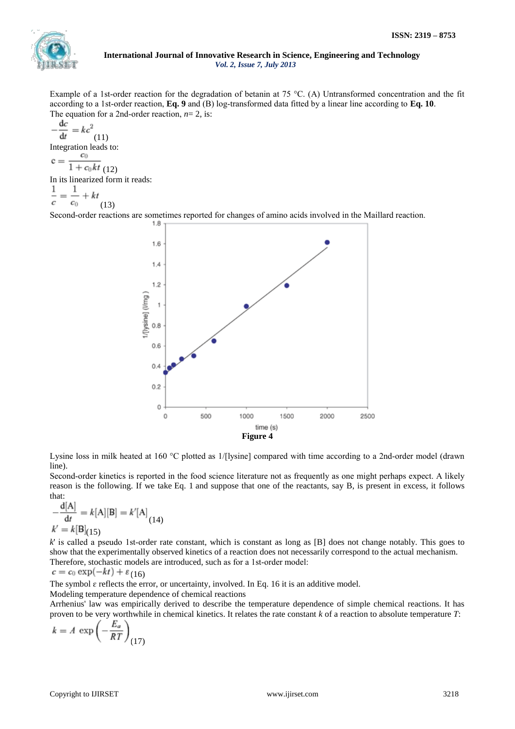

Example of a 1st-order reaction for the degradation of betanin at 75 °C. (A) Untransformed concentration and the fit according to a 1st-order reaction, **[Eq. 9](https://onlinelibrary.wiley.com/doi/full/10.1111/j.1541-4337.2007.00036.x#m10)** and (B) log-transformed data fitted by a linear line according to **[Eq. 10](https://onlinelibrary.wiley.com/doi/full/10.1111/j.1541-4337.2007.00036.x#m11)**. The equation for a 2nd‐order reaction, *n*= 2, is:

$$
-\frac{dc}{dt} = kc^2
$$
  
Integration leads to:  

$$
c = \frac{c_0}{1 + c_0kt}
$$
  
In its linearized form it  

$$
\frac{1}{c} = \frac{1}{c_0} + kt
$$
 (13)

reads:

Second-order reactions are sometimes reported for changes of amino acids involved in the Maillard reaction.



Lysine loss in milk heated at 160 °C plotted as 1/[lysine] compared with time according to a 2nd-order model (drawn line).

Second-order kinetics is reported in the food science literature not as frequently as one might perhaps expect. A likely reason is the following. If we take [Eq. 1](https://onlinelibrary.wiley.com/doi/full/10.1111/j.1541-4337.2007.00036.x#m1) and suppose that one of the reactants, say B, is present in excess, it follows that:

$$
-\frac{d[A]}{dt} = k[A][B] = k'[A]_{(14)}
$$
  
k' = k[B]<sub>(15)</sub>

*k*' is called a pseudo 1st-order rate constant, which is constant as long as [B] does not change notably. This goes to show that the experimentally observed kinetics of a reaction does not necessarily correspond to the actual mechanism. Therefore, stochastic models are introduced, such as for a 1st-order model:

 $c = c_0 \exp(-kt) + \varepsilon_{(16)}$ 

The symbol  $\varepsilon$  reflects the error, or uncertainty, involved. In [Eq. 16](https://onlinelibrary.wiley.com/doi/full/10.1111/j.1541-4337.2007.00036.x#m17) it is an additive model.

Modeling temperature dependence of chemical reactions

Arrhenius' law was empirically derived to describe the temperature dependence of simple chemical reactions. It has proven to be very worthwhile in chemical kinetics. It relates the rate constant *k* of a reaction to absolute temperature *T*:

$$
k = A \, \exp\left(-\frac{E_a}{RT}\right)_{\text{(17)}}
$$